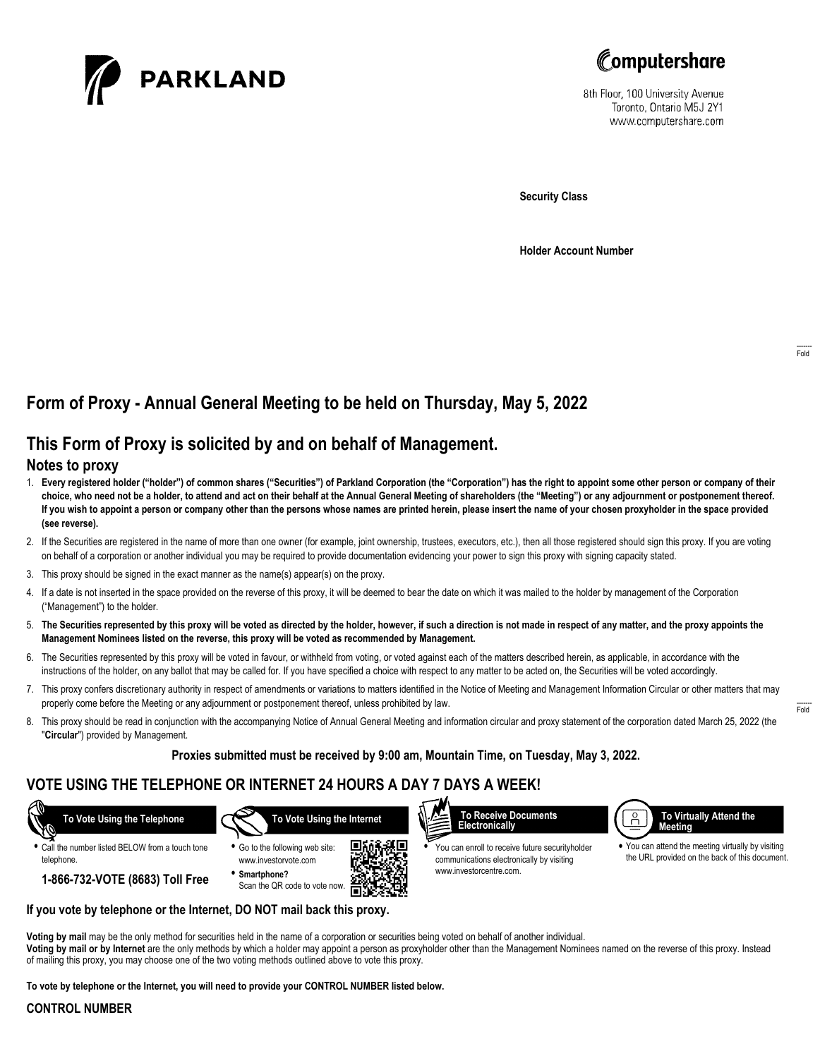



8th Floor, 100 University Avenue Toronto, Ontario M5J 2Y1 www.computershare.com

**Security Class**

**Holder Account Number**

------- Fold

# **Form of Proxy - Annual General Meeting to be held on Thursday, May 5, 2022**

## **This Form of Proxy is solicited by and on behalf of Management.**

### **Notes to proxy**

- 1. **Every registered holder ("holder") of common shares ("Securities") of Parkland Corporation (the "Corporation") has the right to appoint some other person or company of their choice, who need not be a holder, to attend and act on their behalf at the Annual General Meeting of shareholders (the "Meeting") or any adjournment or postponement thereof. If you wish to appoint a person or company other than the persons whose names are printed herein, please insert the name of your chosen proxyholder in the space provided (see reverse).**
- 2. If the Securities are registered in the name of more than one owner (for example, joint ownership, trustees, executors, etc.), then all those registered should sign this proxy. If you are voting on behalf of a corporation or another individual you may be required to provide documentation evidencing your power to sign this proxy with signing capacity stated.
- 3. This proxy should be signed in the exact manner as the name(s) appear(s) on the proxy.
- 4. If a date is not inserted in the space provided on the reverse of this proxy, it will be deemed to bear the date on which it was mailed to the holder by management of the Corporation ("Management") to the holder.
- 5. **The Securities represented by this proxy will be voted as directed by the holder, however, if such a direction is not made in respect of any matter, and the proxy appoints the Management Nominees listed on the reverse, this proxy will be voted as recommended by Management.**
- 6. The Securities represented by this proxy will be voted in favour, or withheld from voting, or voted against each of the matters described herein, as applicable, in accordance with the instructions of the holder, on any ballot that may be called for. If you have specified a choice with respect to any matter to be acted on, the Securities will be voted accordingly.
- 7. This proxy confers discretionary authority in respect of amendments or variations to matters identified in the Notice of Meeting and Management Information Circular or other matters that may properly come before the Meeting or any adjournment or postponement thereof, unless prohibited by law.
- 8. This proxy should be read in conjunction with the accompanying Notice of Annual General Meeting and information circular and proxy statement of the corporation dated March 25, 2022 (the "**Circular**") provided by Management.

**Proxies submitted must be received by 9:00 am, Mountain Time, on Tuesday, May 3, 2022.**

## **VOTE USING THE TELEPHONE OR INTERNET 24 HOURS A DAY 7 DAYS A WEEK!**

 **To Vote Using the Telephone**

**•** Call the number listed BELOW from a touch tone telephone.



**1-866-732-VOTE (8683) Toll Free**





**•** You can enroll to receive future securityholder communications electronically by visiting www.investorcentre.com.



**•** You can attend the meeting virtually by visiting the URL provided on the back of this document.

**Voting by mail** may be the only method for securities held in the name of a corporation or securities being voted on behalf of another individual.

**Voting by mail or by Internet** are the only methods by which a holder may appoint a person as proxyholder other than the Management Nominees named on the reverse of this proxy. Instead of mailing this proxy, you may choose one of the two voting methods outlined above to vote this proxy.

ÆП

**To vote by telephone or the Internet, you will need to provide your CONTROL NUMBER listed below.**

**If you vote by telephone or the Internet, DO NOT mail back this proxy.**

#### **CONTROL NUMBER**